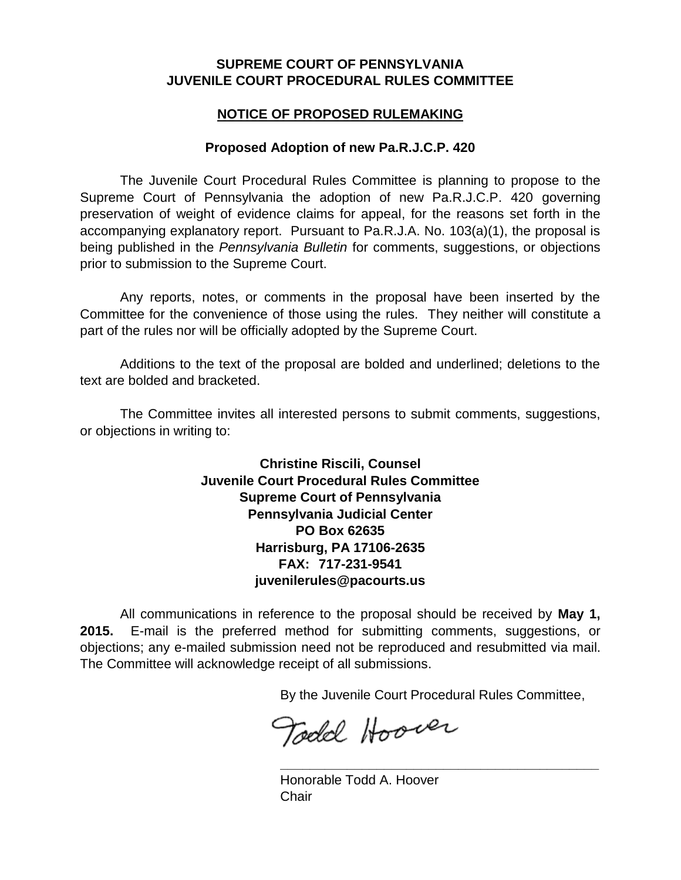## **SUPREME COURT OF PENNSYLVANIA JUVENILE COURT PROCEDURAL RULES COMMITTEE**

## **NOTICE OF PROPOSED RULEMAKING**

## **Proposed Adoption of new Pa.R.J.C.P. 420**

The Juvenile Court Procedural Rules Committee is planning to propose to the Supreme Court of Pennsylvania the adoption of new Pa.R.J.C.P. 420 governing preservation of weight of evidence claims for appeal, for the reasons set forth in the accompanying explanatory report. Pursuant to Pa.R.J.A. No. 103(a)(1), the proposal is being published in the *Pennsylvania Bulletin* for comments, suggestions, or objections prior to submission to the Supreme Court.

Any reports, notes, or comments in the proposal have been inserted by the Committee for the convenience of those using the rules. They neither will constitute a part of the rules nor will be officially adopted by the Supreme Court.

Additions to the text of the proposal are bolded and underlined; deletions to the text are bolded and bracketed.

The Committee invites all interested persons to submit comments, suggestions, or objections in writing to:

> **Christine Riscili, Counsel Juvenile Court Procedural Rules Committee Supreme Court of Pennsylvania Pennsylvania Judicial Center PO Box 62635 Harrisburg, PA 17106-2635 FAX: 717-231-9541 juvenilerules@pacourts.us**

All communications in reference to the proposal should be received by **May 1, 2015.** E-mail is the preferred method for submitting comments, suggestions, or objections; any e-mailed submission need not be reproduced and resubmitted via mail. The Committee will acknowledge receipt of all submissions.

By the Juvenile Court Procedural Rules Committee,

**\_\_\_\_\_\_\_\_\_\_\_\_\_\_\_\_\_\_\_\_\_\_\_\_\_\_\_\_\_\_\_\_\_\_\_\_\_\_\_\_\_\_\_** 

Todd Hoover

Honorable Todd A. Hoover **Chair**